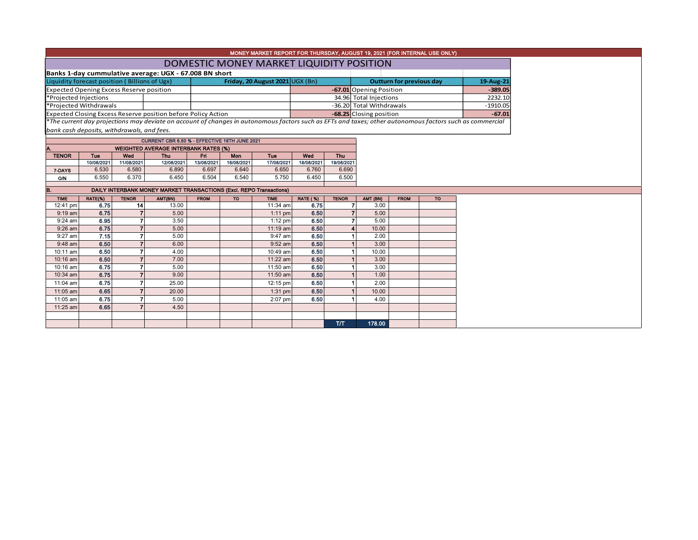|                                                 |                                                                     |                |                                                                                                                                                          |             |            | MONEY MARKET REPORT FOR THURSDAY, AUGUST 19, 2021 (FOR INTERNAL USE ONLY) |                 |                |                                              |             |           |  |  |
|-------------------------------------------------|---------------------------------------------------------------------|----------------|----------------------------------------------------------------------------------------------------------------------------------------------------------|-------------|------------|---------------------------------------------------------------------------|-----------------|----------------|----------------------------------------------|-------------|-----------|--|--|
|                                                 |                                                                     |                |                                                                                                                                                          |             |            | DOMESTIC MONEY MARKET LIQUIDITY POSITION                                  |                 |                |                                              |             |           |  |  |
|                                                 |                                                                     |                | Banks 1-day cummulative average: UGX - 67.008 BN short                                                                                                   |             |            |                                                                           |                 |                |                                              |             |           |  |  |
| Liquidity forecast position (Billions of Ugx)   |                                                                     |                |                                                                                                                                                          |             |            | Friday, 20 August 2021 UGX (Bn)                                           |                 |                | <b>Outturn for previous day</b><br>19-Aug-21 |             |           |  |  |
| <b>Expected Opening Excess Reserve position</b> |                                                                     |                |                                                                                                                                                          |             |            |                                                                           |                 |                | -67.01 Opening Position                      |             |           |  |  |
| *Projected Injections                           |                                                                     |                |                                                                                                                                                          |             |            |                                                                           |                 |                | 34.96 Total Injections                       |             |           |  |  |
| *Projected Withdrawals                          |                                                                     |                |                                                                                                                                                          |             |            |                                                                           |                 |                | -36.20 Total Withdrawals                     |             |           |  |  |
|                                                 |                                                                     |                | Expected Closing Excess Reserve position before Policy Action                                                                                            |             |            |                                                                           |                 |                | -68.25 Closing position                      |             |           |  |  |
|                                                 |                                                                     |                | *The current day projections may deviate on account of changes in autonomous factors such as EFTs and taxes; other autonomous factors such as commercial |             |            |                                                                           |                 |                |                                              |             |           |  |  |
| bank cash deposits, withdrawals, and fees.      |                                                                     |                |                                                                                                                                                          |             |            |                                                                           |                 |                |                                              |             |           |  |  |
|                                                 |                                                                     |                | CURRENT CBR 6.50 % - EFFECTIVE 16TH JUNE 2021                                                                                                            |             |            |                                                                           |                 |                |                                              |             |           |  |  |
| Α.                                              |                                                                     |                | <b>WEIGHTED AVERAGE INTERBANK RATES (%)</b>                                                                                                              |             |            |                                                                           |                 |                |                                              |             |           |  |  |
| <b>TENOR</b>                                    | Tue                                                                 | Wed            | <b>Thu</b>                                                                                                                                               | Fri.        | Mon        | Tue                                                                       | Wed             | Thu            |                                              |             |           |  |  |
|                                                 | 10/08/2021                                                          | 11/08/2021     | 12/08/2021                                                                                                                                               | 13/08/2021  | 16/08/2021 | 17/08/2021                                                                | 18/08/2021      | 19/08/2021     |                                              |             |           |  |  |
| 7-DAYS                                          | 6.530                                                               | 6.580          | 6.890                                                                                                                                                    | 6.697       | 6.640      | 6.650                                                                     | 6.760           | 6.690          |                                              |             |           |  |  |
| O/N                                             | 6.550                                                               | 6.370          | 6.450                                                                                                                                                    | 6.504       | 6.540      | 5.750                                                                     | 6.450           | 6.500          |                                              |             |           |  |  |
| B.                                              | DAILY INTERBANK MONEY MARKET TRANSACTIONS (Excl. REPO Transactions) |                |                                                                                                                                                          |             |            |                                                                           |                 |                |                                              |             |           |  |  |
| <b>TIME</b>                                     | RATE(%)                                                             | <b>TENOR</b>   | AMT(BN)                                                                                                                                                  | <b>FROM</b> | <b>TO</b>  | <b>TIME</b>                                                               | <b>RATE (%)</b> | <b>TENOR</b>   | AMT (BN)                                     | <b>FROM</b> | <b>TO</b> |  |  |
| 12:41 pm                                        | 6.75                                                                | 14             | 13.00                                                                                                                                                    |             |            | 11:34 am                                                                  | 6.75            | $\overline{7}$ | 3.00                                         |             |           |  |  |
| $9:19$ am                                       | 6.75                                                                | $\overline{7}$ | 5.00                                                                                                                                                     |             |            | $1:11$ pm                                                                 | 6.50            | $\overline{7}$ | 5.00                                         |             |           |  |  |
| 9:24 am                                         | 6.95                                                                | $\overline{7}$ | 3.50                                                                                                                                                     |             |            | $1:12$ pm                                                                 | 6.50            | 7              | 5.00                                         |             |           |  |  |
| 9:26 am                                         | 6.75                                                                | $\overline{7}$ | 5.00                                                                                                                                                     |             |            | 11:19 am                                                                  | 6.50            |                | 10.00                                        |             |           |  |  |
| 9:27 am                                         | 7.15                                                                | $\overline{7}$ | 5.00                                                                                                                                                     |             |            | 9:47 am                                                                   | 6.50            |                | 2.00                                         |             |           |  |  |
| 9:48 am                                         | 6.50                                                                | $\overline{7}$ | 6.00                                                                                                                                                     |             |            | 9:52 am                                                                   | 6.50            |                | 3.00                                         |             |           |  |  |
| 10:11 am                                        | 6.50                                                                | $\overline{7}$ | 4.00                                                                                                                                                     |             |            | 10:49 am                                                                  | 6.50            |                | 10.00                                        |             |           |  |  |
| 10:16 am                                        | 6.50                                                                | $\overline{7}$ | 7.00                                                                                                                                                     |             |            | 11:22 am                                                                  | 6.50            |                | 3.00                                         |             |           |  |  |
| 10:16 am                                        | 6.75                                                                | $\overline{7}$ | 5.00                                                                                                                                                     |             |            | 11:50 am                                                                  | 6.50            |                | 3.00                                         |             |           |  |  |
| 10:34 am                                        | 6.75                                                                | $\overline{7}$ | 9.00                                                                                                                                                     |             |            | 11:50 am                                                                  | 6.50            |                | 1.00                                         |             |           |  |  |
| 11:04 am                                        | 6.75                                                                | $\overline{7}$ | 25.00                                                                                                                                                    |             |            | 12:15 pm                                                                  | 6.50            |                | 2.00                                         |             |           |  |  |
| 11:05 am                                        | 6.65                                                                | $\overline{7}$ | 20.00                                                                                                                                                    |             |            | $1:31$ pm                                                                 | 6.50            |                | 10.00                                        |             |           |  |  |
| 11:05 am                                        | 6.75                                                                | $\overline{7}$ | 5.00                                                                                                                                                     |             |            | 2:07 pm                                                                   | 6.50            |                | 4.00                                         |             |           |  |  |
| 11:25 am                                        | 6.65                                                                | $\overline{7}$ | 4.50                                                                                                                                                     |             |            |                                                                           |                 |                |                                              |             |           |  |  |
|                                                 |                                                                     |                |                                                                                                                                                          |             |            |                                                                           |                 |                |                                              |             |           |  |  |
|                                                 |                                                                     |                |                                                                                                                                                          |             |            |                                                                           |                 | T/T            | 178.00                                       |             |           |  |  |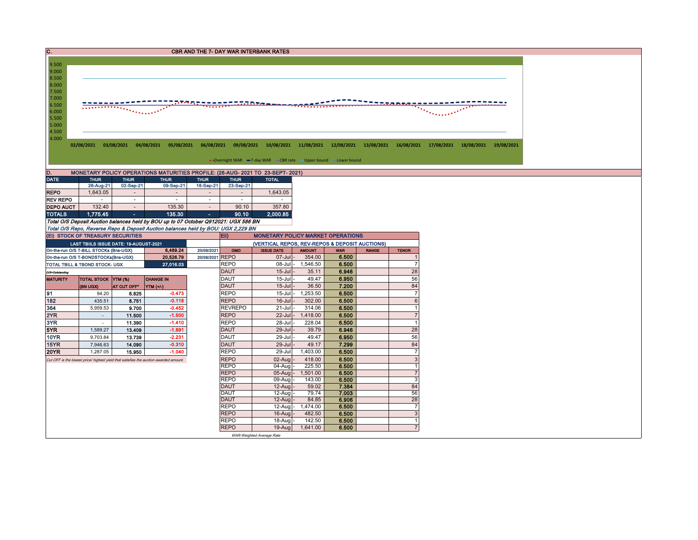| $\overline{c}$ .<br><b>CBR AND THE 7- DAY WAR INTERBANK RATES</b>                    |                                                                                  |                                                                                                                                                                                                                                                                                                                                                                                                                                                                         |                                                                                                                                                                      |                          |                            |                                                                   |                            |                |              |                           |  |  |  |  |
|--------------------------------------------------------------------------------------|----------------------------------------------------------------------------------|-------------------------------------------------------------------------------------------------------------------------------------------------------------------------------------------------------------------------------------------------------------------------------------------------------------------------------------------------------------------------------------------------------------------------------------------------------------------------|----------------------------------------------------------------------------------------------------------------------------------------------------------------------|--------------------------|----------------------------|-------------------------------------------------------------------|----------------------------|----------------|--------------|---------------------------|--|--|--|--|
|                                                                                      |                                                                                  |                                                                                                                                                                                                                                                                                                                                                                                                                                                                         |                                                                                                                                                                      |                          |                            |                                                                   |                            |                |              |                           |  |  |  |  |
| 9.500                                                                                |                                                                                  |                                                                                                                                                                                                                                                                                                                                                                                                                                                                         |                                                                                                                                                                      |                          |                            |                                                                   |                            |                |              |                           |  |  |  |  |
| 9.000                                                                                |                                                                                  |                                                                                                                                                                                                                                                                                                                                                                                                                                                                         |                                                                                                                                                                      |                          |                            |                                                                   |                            |                |              |                           |  |  |  |  |
| 8.500<br>8.000                                                                       |                                                                                  |                                                                                                                                                                                                                                                                                                                                                                                                                                                                         |                                                                                                                                                                      |                          |                            |                                                                   |                            |                |              |                           |  |  |  |  |
| 7.500                                                                                |                                                                                  |                                                                                                                                                                                                                                                                                                                                                                                                                                                                         |                                                                                                                                                                      |                          |                            |                                                                   |                            |                |              |                           |  |  |  |  |
| 7.000                                                                                |                                                                                  |                                                                                                                                                                                                                                                                                                                                                                                                                                                                         |                                                                                                                                                                      |                          |                            |                                                                   |                            |                |              |                           |  |  |  |  |
| 6.500                                                                                |                                                                                  |                                                                                                                                                                                                                                                                                                                                                                                                                                                                         |                                                                                                                                                                      |                          |                            |                                                                   |                            |                |              |                           |  |  |  |  |
| 6.000                                                                                |                                                                                  | $\frac{1}{\sqrt{1+\left(\frac{1}{2}\right)^{2}+\left(\frac{1}{2}\right)^{2}+\left(\frac{1}{2}\right)^{2}+\left(\frac{1}{2}\right)^{2}+\left(\frac{1}{2}\right)^{2}+\left(\frac{1}{2}\right)^{2}+\left(\frac{1}{2}\right)^{2}+\left(\frac{1}{2}\right)^{2}+\left(\frac{1}{2}\right)^{2}+\left(\frac{1}{2}\right)^{2}+\left(\frac{1}{2}\right)^{2}+\left(\frac{1}{2}\right)^{2}+\left(\frac{1}{2}\right)^{2}+\left(\frac{1}{2}\right)^{2}+\left(\frac{1}{2}\right)^{2}+\$ |                                                                                                                                                                      |                          |                            |                                                                   |                            |                |              |                           |  |  |  |  |
| 5.500                                                                                |                                                                                  |                                                                                                                                                                                                                                                                                                                                                                                                                                                                         |                                                                                                                                                                      |                          |                            |                                                                   |                            |                |              |                           |  |  |  |  |
| 5.000                                                                                |                                                                                  |                                                                                                                                                                                                                                                                                                                                                                                                                                                                         |                                                                                                                                                                      |                          |                            |                                                                   |                            |                |              |                           |  |  |  |  |
| 4.500                                                                                |                                                                                  |                                                                                                                                                                                                                                                                                                                                                                                                                                                                         |                                                                                                                                                                      |                          |                            |                                                                   |                            |                |              |                           |  |  |  |  |
| 4.000                                                                                |                                                                                  |                                                                                                                                                                                                                                                                                                                                                                                                                                                                         |                                                                                                                                                                      |                          |                            |                                                                   |                            |                |              |                           |  |  |  |  |
|                                                                                      |                                                                                  |                                                                                                                                                                                                                                                                                                                                                                                                                                                                         | 02/08/2021 03/08/2021 04/08/2021 05/08/2021 06/08/2021 09/08/2021 10/08/2021 11/08/2021 12/08/2021 13/08/2021 16/08/2021 17/08/2021 18/08/2021 18/08/2021 19/08/2021 |                          |                            |                                                                   |                            |                |              |                           |  |  |  |  |
|                                                                                      |                                                                                  |                                                                                                                                                                                                                                                                                                                                                                                                                                                                         |                                                                                                                                                                      |                          |                            |                                                                   |                            |                |              |                           |  |  |  |  |
|                                                                                      |                                                                                  |                                                                                                                                                                                                                                                                                                                                                                                                                                                                         |                                                                                                                                                                      |                          |                            | • Overnight WAR -7-day WAR - CBR rate - Upper bound - Lower bound |                            |                |              |                           |  |  |  |  |
| MONETARY POLICY OPERATIONS MATURITIES PROFILE: (26-AUG- 2021 TO 23-SEPT- 2021)<br>D. |                                                                                  |                                                                                                                                                                                                                                                                                                                                                                                                                                                                         |                                                                                                                                                                      |                          |                            |                                                                   |                            |                |              |                           |  |  |  |  |
| <b>DATE</b>                                                                          | <b>THUR</b>                                                                      | <b>THUR</b>                                                                                                                                                                                                                                                                                                                                                                                                                                                             | <b>THUR</b>                                                                                                                                                          | <b>THUR</b>              | <b>THUR</b>                | <b>TOTAL</b>                                                      |                            |                |              |                           |  |  |  |  |
|                                                                                      | 26-Aug-21                                                                        | 02-Sep-21                                                                                                                                                                                                                                                                                                                                                                                                                                                               | 09-Sep-21                                                                                                                                                            | 16-Sep-21                | 23-Sep-21                  |                                                                   |                            |                |              |                           |  |  |  |  |
| <b>REPO</b>                                                                          | 1,643.05                                                                         | $\sim$                                                                                                                                                                                                                                                                                                                                                                                                                                                                  | $\sim$                                                                                                                                                               | $\sim$                   | $\sim$                     | 1,643.05                                                          |                            |                |              |                           |  |  |  |  |
| <b>REV REPO</b>                                                                      | $\sim$                                                                           | $\sim$                                                                                                                                                                                                                                                                                                                                                                                                                                                                  | $\sim$                                                                                                                                                               | $\overline{\phantom{a}}$ | $\sim$                     |                                                                   |                            |                |              |                           |  |  |  |  |
| <b>DEPO AUCT</b>                                                                     | 132.40                                                                           | $\sim$                                                                                                                                                                                                                                                                                                                                                                                                                                                                  | 135.30                                                                                                                                                               | $\sim$                   | 90.10                      | 357.80                                                            |                            |                |              |                           |  |  |  |  |
| <b>TOTALS</b>                                                                        | 1,775.45                                                                         | $\sim$                                                                                                                                                                                                                                                                                                                                                                                                                                                                  | 135.30                                                                                                                                                               | a.                       | 90.10                      | 2,000.85                                                          |                            |                |              |                           |  |  |  |  |
|                                                                                      |                                                                                  |                                                                                                                                                                                                                                                                                                                                                                                                                                                                         | Total O/S Deposit Auction balances held by BOU up to 07 October Q912021: UGX 586 BN                                                                                  |                          |                            |                                                                   |                            |                |              |                           |  |  |  |  |
|                                                                                      | (EI) STOCK OF TREASURY SECURITIES                                                |                                                                                                                                                                                                                                                                                                                                                                                                                                                                         | Total O/S Repo, Reverse Repo & Deposit Auction balances held by BOU: UGX 2,229 BN                                                                                    |                          | Eii)                       | <b>MONETARY POLICY MARKET OPERATIONS</b>                          |                            |                |              |                           |  |  |  |  |
|                                                                                      |                                                                                  |                                                                                                                                                                                                                                                                                                                                                                                                                                                                         |                                                                                                                                                                      |                          |                            | (VERTICAL REPOS, REV-REPOS & DEPOSIT AUCTIONS)                    |                            |                |              |                           |  |  |  |  |
|                                                                                      | LAST TBIILS ISSUE DATE: 19-AUGUST-2021<br>On-the-run O/S T-BILL STOCKs (Bns-UGX) |                                                                                                                                                                                                                                                                                                                                                                                                                                                                         | 6,489.24                                                                                                                                                             | 20/08/2021               | OMO                        | <b>ISSUE DATE</b>                                                 | <b>AMOUNT</b>              | <b>WAR</b>     | <b>RANGE</b> | <b>TENOR</b>              |  |  |  |  |
|                                                                                      |                                                                                  |                                                                                                                                                                                                                                                                                                                                                                                                                                                                         | 20,526.79                                                                                                                                                            | 20/08/2021 REPO          |                            | $07 -$ Jul                                                        | 354.00                     | 6.500          |              |                           |  |  |  |  |
| On-the-run O/S T-BONDSTOCKs(Bns-UGX)<br>TOTAL TBILL & TBOND STOCK- UGX               |                                                                                  |                                                                                                                                                                                                                                                                                                                                                                                                                                                                         |                                                                                                                                                                      |                          |                            |                                                                   |                            |                |              |                           |  |  |  |  |
|                                                                                      |                                                                                  |                                                                                                                                                                                                                                                                                                                                                                                                                                                                         |                                                                                                                                                                      |                          |                            |                                                                   |                            |                |              | $\overline{7}$            |  |  |  |  |
|                                                                                      |                                                                                  |                                                                                                                                                                                                                                                                                                                                                                                                                                                                         | 27,016.03                                                                                                                                                            |                          | <b>REPO</b><br><b>DAUT</b> | $15 -$ Jul                                                        | 08-Jul - 1,546.50<br>35.11 | 6.500<br>6.946 |              | 28                        |  |  |  |  |
| O/S=Outstanding<br><b>MATURITY</b>                                                   | <b>TOTAL STOCK YTM (%)</b>                                                       |                                                                                                                                                                                                                                                                                                                                                                                                                                                                         | <b>CHANGE IN</b>                                                                                                                                                     |                          | <b>DAUT</b>                | $15 -$ Jul                                                        | 49.47                      | 6.950          |              | 56                        |  |  |  |  |
|                                                                                      | (BN UGX)                                                                         | AT CUT OFF*                                                                                                                                                                                                                                                                                                                                                                                                                                                             | <b>YTM</b> (+/-)                                                                                                                                                     |                          | <b>DAUT</b>                | $15 -$ Jul                                                        | 36.50                      | 7.200          |              | 84                        |  |  |  |  |
| 91                                                                                   | 94.20                                                                            | 6.825                                                                                                                                                                                                                                                                                                                                                                                                                                                                   | $-0.473$                                                                                                                                                             |                          | <b>REPO</b>                | $15 -$ Jul                                                        | 1,253.50                   | 6.500          |              | $\overline{7}$            |  |  |  |  |
| 182                                                                                  | 435.51                                                                           | 8.751                                                                                                                                                                                                                                                                                                                                                                                                                                                                   | $-0.118$                                                                                                                                                             |                          | <b>REPO</b>                | $16$ -Jul                                                         | 302.00                     | 6.500          |              | $\,6$                     |  |  |  |  |
| 364                                                                                  | 5,959.53                                                                         | 9.700                                                                                                                                                                                                                                                                                                                                                                                                                                                                   | $-0.452$                                                                                                                                                             |                          | <b>REVREPO</b>             | $21 -$ Jul                                                        | 314.06                     | 6.500          |              | $\overline{1}$            |  |  |  |  |
| 2YR                                                                                  | $\sim$                                                                           | 11.500                                                                                                                                                                                                                                                                                                                                                                                                                                                                  | $-1.500$                                                                                                                                                             |                          | <b>REPO</b>                | 22-Jul                                                            | 1,418.00                   | 6.500          |              | $\overline{7}$            |  |  |  |  |
| 3YR                                                                                  | ÷                                                                                | 11.390                                                                                                                                                                                                                                                                                                                                                                                                                                                                  | $-1.410$                                                                                                                                                             |                          | <b>REPO</b>                | 28-Jul                                                            | 228.04                     | 6.500          |              | $\mathbf{1}$              |  |  |  |  |
| 5YR                                                                                  | 1,589.27                                                                         | 13.409                                                                                                                                                                                                                                                                                                                                                                                                                                                                  | $-1.691$                                                                                                                                                             |                          | <b>DAUT</b>                | 29-Jul                                                            | 39.79                      | 6.946          |              | 28                        |  |  |  |  |
| <b>10YR</b>                                                                          | 9,703.84                                                                         | 13.739                                                                                                                                                                                                                                                                                                                                                                                                                                                                  | $-2.231$                                                                                                                                                             |                          | <b>DAUT</b>                | 29-Jul                                                            | 49.47                      | 6.950          |              | 56                        |  |  |  |  |
| 15YR                                                                                 | 7,946.63                                                                         | 14.090                                                                                                                                                                                                                                                                                                                                                                                                                                                                  | $-0.310$                                                                                                                                                             |                          | <b>DAUT</b>                | 29-Jul                                                            | 49.17                      | 7.299          |              | 84                        |  |  |  |  |
| <b>20YR</b>                                                                          | 1,287.05                                                                         | 15.950                                                                                                                                                                                                                                                                                                                                                                                                                                                                  | $-1.040$                                                                                                                                                             |                          | <b>REPO</b>                | 29-Jul                                                            | 1,403.00                   | 6.500          |              | $\overline{7}$            |  |  |  |  |
|                                                                                      |                                                                                  |                                                                                                                                                                                                                                                                                                                                                                                                                                                                         | Cut OFF is the lowest price/ highest yield that satisfies the auction awarded amount.                                                                                |                          | <b>REPO</b>                | 02-Aug                                                            | 418.00                     | 6.500          |              | $\sqrt{3}$                |  |  |  |  |
|                                                                                      |                                                                                  |                                                                                                                                                                                                                                                                                                                                                                                                                                                                         |                                                                                                                                                                      |                          | <b>REPO</b>                | 04-Aug                                                            | 225.50                     | 6.500          |              | $\mathbf{1}$              |  |  |  |  |
|                                                                                      |                                                                                  |                                                                                                                                                                                                                                                                                                                                                                                                                                                                         |                                                                                                                                                                      |                          | <b>REPO</b>                | 05-Aug                                                            | 1,501.00                   | 6.500          |              | $\overline{7}$            |  |  |  |  |
|                                                                                      |                                                                                  |                                                                                                                                                                                                                                                                                                                                                                                                                                                                         |                                                                                                                                                                      |                          | <b>REPO</b>                | 09-Aug                                                            | 143.00                     | 6.500          |              | $\mathbf{3}$              |  |  |  |  |
|                                                                                      |                                                                                  |                                                                                                                                                                                                                                                                                                                                                                                                                                                                         |                                                                                                                                                                      |                          | <b>DAUT</b>                | 12-Aug                                                            | 59.02                      | 7.384          |              | 84                        |  |  |  |  |
|                                                                                      |                                                                                  |                                                                                                                                                                                                                                                                                                                                                                                                                                                                         |                                                                                                                                                                      |                          | <b>DAUT</b><br><b>DAUT</b> | 12-Aug<br>12-Aug                                                  | 79.74<br>84.85             | 7.003<br>6.906 |              | 56<br>28                  |  |  |  |  |
|                                                                                      |                                                                                  |                                                                                                                                                                                                                                                                                                                                                                                                                                                                         |                                                                                                                                                                      |                          | <b>REPO</b>                | 12-Aug                                                            | 1,474.00                   | 6.500          |              | $\overline{7}$            |  |  |  |  |
|                                                                                      |                                                                                  |                                                                                                                                                                                                                                                                                                                                                                                                                                                                         |                                                                                                                                                                      |                          | <b>REPO</b>                | 16-Aug                                                            | 482.50                     | 6.500          |              | $\ensuremath{\mathsf{3}}$ |  |  |  |  |
|                                                                                      |                                                                                  |                                                                                                                                                                                                                                                                                                                                                                                                                                                                         |                                                                                                                                                                      |                          | <b>REPO</b>                | 18-Aug                                                            | 142.50                     | 6.500          |              | $\mathbf{1}$              |  |  |  |  |
|                                                                                      |                                                                                  |                                                                                                                                                                                                                                                                                                                                                                                                                                                                         |                                                                                                                                                                      |                          | <b>REPO</b>                | 19-Aug                                                            | 1,641.00                   | 6.500          |              | $\overline{7}$            |  |  |  |  |